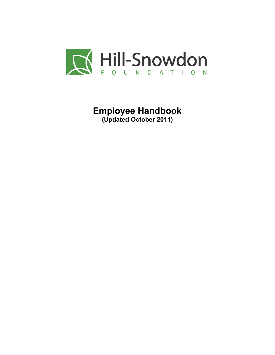

**Employee Handbook (Updated October 2011)**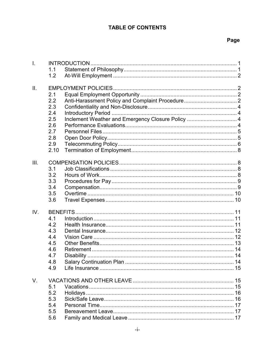# **TABLE OF CONTENTS**

# Page

| $\mathbf{L}$ |      |                                                   |  |  |  |
|--------------|------|---------------------------------------------------|--|--|--|
|              | 1.1  |                                                   |  |  |  |
|              | 1.2  |                                                   |  |  |  |
|              |      |                                                   |  |  |  |
| ΙΙ.          |      |                                                   |  |  |  |
|              | 2.1  |                                                   |  |  |  |
|              | 2.2  |                                                   |  |  |  |
|              | 2.3  |                                                   |  |  |  |
|              | 2.4  |                                                   |  |  |  |
|              | 2.5  | Inclement Weather and Emergency Closure Policy  4 |  |  |  |
|              | 2.6  |                                                   |  |  |  |
|              | 2.7  |                                                   |  |  |  |
|              | 2.8  |                                                   |  |  |  |
|              | 2.9  |                                                   |  |  |  |
|              | 2.10 |                                                   |  |  |  |
|              |      |                                                   |  |  |  |
| III.         |      |                                                   |  |  |  |
|              | 3.1  |                                                   |  |  |  |
|              | 3.2  |                                                   |  |  |  |
|              | 3.3  |                                                   |  |  |  |
|              | 3.4  |                                                   |  |  |  |
|              | 3.5  |                                                   |  |  |  |
|              | 3.6  |                                                   |  |  |  |
|              |      |                                                   |  |  |  |
| IV.          |      |                                                   |  |  |  |
|              | 4.1  |                                                   |  |  |  |
|              | 4.2  |                                                   |  |  |  |
|              | 4.3  |                                                   |  |  |  |
|              | 4.4  |                                                   |  |  |  |
|              | 4.5  |                                                   |  |  |  |
|              | 4.6  |                                                   |  |  |  |
|              | 4.7  |                                                   |  |  |  |
|              | 4.8  |                                                   |  |  |  |
|              | 4.9  |                                                   |  |  |  |
|              |      |                                                   |  |  |  |
| V.           |      |                                                   |  |  |  |
|              | 5.1  |                                                   |  |  |  |
|              | 5.2  |                                                   |  |  |  |
|              | 5.3  |                                                   |  |  |  |
|              | 5.4  |                                                   |  |  |  |
|              | 5.5  |                                                   |  |  |  |
|              | 5.6  |                                                   |  |  |  |
|              |      |                                                   |  |  |  |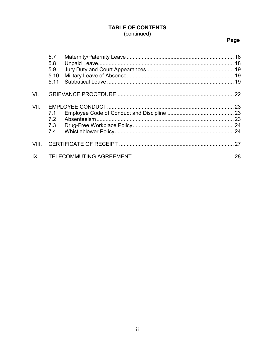# **TABLE OF CONTENTS** (continued)

# Page

|          | 5.7<br>5.8<br>5.9<br>5.10<br>5.11 |  |    |
|----------|-----------------------------------|--|----|
| VI.      |                                   |  |    |
| VII.     | 7.1<br>72<br>7.3<br>7.4           |  |    |
| VIII.    |                                   |  |    |
| $IX_{-}$ |                                   |  | 28 |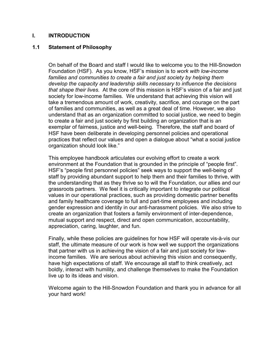#### **I. INTRODUCTION**

#### **1.1 Statement of Philosophy**

On behalf of the Board and staff I would like to welcome you to the Hill-Snowdon Foundation (HSF). As you know, HSF's mission is to *work with low-income families and communities to create a fair and just society by helping them develop the capacity and leadership skills necessary to influence the decisions that shape their lives.* At the core of this mission is HSF's vision of a fair and just society for low-income families. We understand that achieving this vision will take a tremendous amount of work, creativity, sacrifice, and courage on the part of families and communities, as well as a great deal of time. However, we also understand that as an organization committed to social justice, we need to begin to create a fair and just society by first building an organization that is an exemplar of fairness, justice and well-being. Therefore, the staff and board of HSF have been deliberate in developing personnel policies and operational practices that reflect our values and open a dialogue about "what a social justice organization should look like."

This employee handbook articulates our evolving effort to create a work environment at the Foundation that is grounded in the principle of "people first". HSF's "people first personnel policies" seek ways to support the well-being of staff by providing abundant support to help them and their families to thrive, with the understanding that as they thrive so to will the Foundation, our allies and our grassroots partners. We feel it is critically important to integrate our political values in our operational practices, such as providing domestic partner benefits and family healthcare coverage to full and part-time employees and including gender expression and identity in our anti-harassment policies. We also strive to create an organization that fosters a family environment of inter-dependence, mutual support and respect, direct and open communication, accountability, appreciation, caring, laughter, and fun.

Finally, while these policies are guidelines for how HSF will operate vis-à-vis our staff, the ultimate measure of our work is how well we support the organizations that partner with us in achieving the vision of a fair and just society for lowincome families. We are serious about achieving this vision and consequently, have high expectations of staff. We encourage all staff to think creatively, act boldly, interact with humility, and challenge themselves to make the Foundation live up to its ideas and vision.

Welcome again to the Hill-Snowdon Foundation and thank you in advance for all your hard work!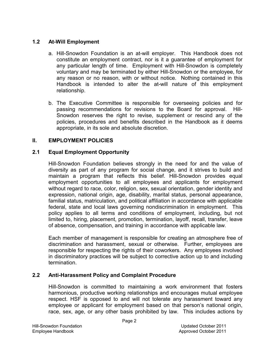### **1.2 At-Will Employment**

- a. Hill-Snowdon Foundation is an at-will employer. This Handbook does not constitute an employment contract, nor is it a guarantee of employment for any particular length of time. Employment with Hill-Snowdon is completely voluntary and may be terminated by either Hill-Snowdon or the employee, for any reason or no reason, with or without notice. Nothing contained in this Handbook is intended to alter the at-will nature of this employment relationship.
- b. The Executive Committee is responsible for overseeing policies and for passing recommendations for revisions to the Board for approval. Hill-Snowdon reserves the right to revise, supplement or rescind any of the policies, procedures and benefits described in the Handbook as it deems appropriate, in its sole and absolute discretion.

# **II. EMPLOYMENT POLICIES**

### **2.1 Equal Employment Opportunity**

Hill-Snowdon Foundation believes strongly in the need for and the value of diversity as part of any program for social change, and it strives to build and maintain a program that reflects this belief. Hill-Snowdon provides equal employment opportunities to all employees and applicants for employment without regard to race, color, religion, sex, sexual orientation, gender identity and expression, national origin, age, disability, marital status, personal appearance, familial status, matriculation, and political affiliation in accordance with applicable federal, state and local laws governing nondiscrimination in employment. This policy applies to all terms and conditions of employment, including, but not limited to, hiring, placement, promotion, termination, layoff, recall, transfer, leave of absence, compensation, and training in accordance with applicable law.

Each member of management is responsible for creating an atmosphere free of discrimination and harassment, sexual or otherwise. Further, employees are responsible for respecting the rights of their coworkers. Any employees involved in discriminatory practices will be subject to corrective action up to and including termination.

# **2.2 Anti-Harassment Policy and Complaint Procedure**

Hill-Snowdon is committed to maintaining a work environment that fosters harmonious, productive working relationships and encourages mutual employee respect. HSF is opposed to and will not tolerate any harassment toward any employee or applicant for employment based on that person's national origin, race, sex, age, or any other basis prohibited by law. This includes actions by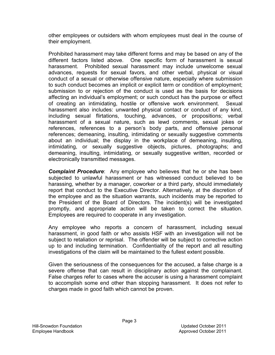other employees or outsiders with whom employees must deal in the course of their employment.

Prohibited harassment may take different forms and may be based on any of the different factors listed above. One specific form of harassment is sexual harassment. Prohibited sexual harassment may include unwelcome sexual advances, requests for sexual favors, and other verbal, physical or visual conduct of a sexual or otherwise offensive nature, especially where submission to such conduct becomes an implicit or explicit term or condition of employment; submission to or rejection of the conduct is used as the basis for decisions affecting an individual's employment; or such conduct has the purpose or effect of creating an intimidating, hostile or offensive work environment. Sexual harassment also includes: unwanted physical contact or conduct of any kind, including sexual flirtations, touching, advances, or propositions; verbal harassment of a sexual nature, such as lewd comments, sexual jokes or references, references to a person's body parts, and offensive personal references; demeaning, insulting, intimidating or sexually suggestive comments about an individual; the display in the workplace of demeaning, insulting, intimidating, or sexually suggestive objects, pictures, photographs; and demeaning, insulting, intimidating, or sexually suggestive written, recorded or electronically transmitted messages.

*Complaint Procedure*: Any employee who believes that he or she has been subjected to unlawful harassment or has witnessed conduct believed to be harassing, whether by a manager, coworker or a third party, should immediately report that conduct to the Executive Director. Alternatively, at the discretion of the employee and as the situation warrants, such incidents may be reported to the President of the Board of Directors. The incident(s) will be investigated promptly, and appropriate action will be taken to correct the situation. Employees are required to cooperate in any investigation.

Any employee who reports a concern of harassment, including sexual harassment, in good faith or who assists HSF with an investigation will not be subject to retaliation or reprisal. The offender will be subject to corrective action up to and including termination. Confidentiality of the report and all resulting investigations of the claim will be maintained to the fullest extent possible.

Given the seriousness of the consequences for the accused, a false charge is a severe offense that can result in disciplinary action against the complainant. False charges refer to cases where the accuser is using a harassment complaint to accomplish some end other than stopping harassment. It does not refer to charges made in good faith which cannot be proven.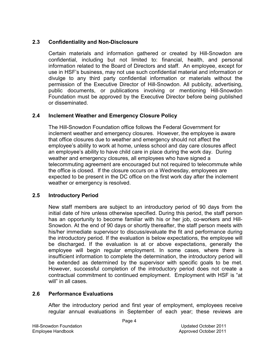## **2.3 Confidentiality and Non-Disclosure**

Certain materials and information gathered or created by Hill-Snowdon are confidential, including but not limited to: financial, health, and personal information related to the Board of Directors and staff. An employee, except for use in HSF's business, may not use such confidential material and information or divulge to any third party confidential information or materials without the permission of the Executive Director of Hill-Snowdon. All publicity, advertising, public documents, or publications involving or mentioning Hill-Snowdon Foundation must be approved by the Executive Director before being published or disseminated.

# **2.4 Inclement Weather and Emergency Closure Policy**

The Hill-Snowdon Foundation office follows the Federal Government for inclement weather and emergency closures. However, the employee is aware that office closures due to weather and emergency should not affect the employee's ability to work at home, unless school and day care closures affect an employee's ability to have child care in place during the work day. During weather and emergency closures, all employees who have signed a telecommuting agreement are encouraged but not required to telecommute while the office is closed. If the closure occurs on a Wednesday, employees are expected to be present in the DC office on the first work day after the inclement weather or emergency is resolved.

#### **2.5 Introductory Period**

New staff members are subject to an introductory period of 90 days from the initial date of hire unless otherwise specified. During this period, the staff person has an opportunity to become familiar with his or her job, co-workers and Hill-Snowdon. At the end of 90 days or shortly thereafter, the staff person meets with his/her immediate supervisor to discuss/evaluate the fit and performance during the introductory period. If the evaluation is below expectations, the employee will be discharged. If the evaluation is at or above expectations, generally the employee will begin regular employment. In some cases, where there is insufficient information to complete the determination, the introductory period will be extended as determined by the supervisor with specific goals to be met. However, successful completion of the introductory period does not create a contractual commitment to continued employment. Employment with HSF is "at will" in all cases.

# **2.6 Performance Evaluations**

After the introductory period and first year of employment, employees receive regular annual evaluations in September of each year; these reviews are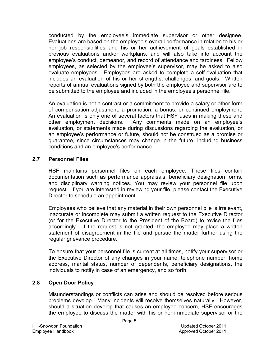conducted by the employee's immediate supervisor or other designee. Evaluations are based on the employee's overall performance in relation to his or her job responsibilities and his or her achievement of goals established in previous evaluations and/or workplans, and will also take into account the employee's conduct, demeanor, and record of attendance and tardiness. Fellow employees, as selected by the employee's supervisor, may be asked to also evaluate employees. Employees are asked to complete a self-evaluation that includes an evaluation of his or her strengths, challenges, and goals. Written reports of annual evaluations signed by both the employee and supervisor are to be submitted to the employee and included in the employee's personnel file.

An evaluation is not a contract or a commitment to provide a salary or other form of compensation adjustment, a promotion, a bonus, or continued employment. An evaluation is only one of several factors that HSF uses in making these and other employment decisions. Any comments made on an employee's evaluation, or statements made during discussions regarding the evaluation, or an employee's performance or future, should not be construed as a promise or guarantee, since circumstances may change in the future, including business conditions and an employee's performance.

#### **2.7 Personnel Files**

HSF maintains personnel files on each employee. These files contain documentation such as performance appraisals, beneficiary designation forms, and disciplinary warning notices. You may review your personnel file upon request. If you are interested in reviewing your file, please contact the Executive Director to schedule an appointment.

Employees who believe that any material in their own personnel pile is irrelevant, inaccurate or incomplete may submit a written request to the Executive Director (or for the Executive Director to the President of the Board) to revise the files accordingly. If the request is not granted, the employee may place a written statement of disagreement in the file and pursue the matter further using the regular grievance procedure.

To ensure that your personnel file is current at all times, notify your supervisor or the Executive Director of any changes in your name, telephone number, home address, marital status, number of dependents, beneficiary designations, the individuals to notify in case of an emergency, and so forth.

#### **2.8 Open Door Policy**

Misunderstandings or conflicts can arise and should be resolved before serious problems develop. Many incidents will resolve themselves naturally. However, should a situation develop that causes an employee concern, HSF encourages the employee to discuss the matter with his or her immediate supervisor or the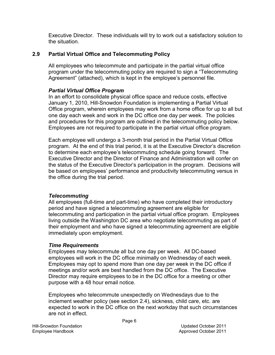Executive Director. These individuals will try to work out a satisfactory solution to the situation.

# **2.9 Partial Virtual Office and Telecommuting Policy**

All employees who telecommute and participate in the partial virtual office program under the telecommuting policy are required to sign a "Telecommuting Agreement" (attached), which is kept in the employee's personnel file.

# *Partial Virtual Office Program*

In an effort to consolidate physical office space and reduce costs, effective January 1, 2010, Hill-Snowdon Foundation is implementing a Partial Virtual Office program, wherein employees may work from a home office for up to all but one day each week and work in the DC office one day per week. The policies and procedures for this program are outlined in the telecommuting policy below. Employees are not required to participate in the partial virtual office program.

Each employee will undergo a 3-month trial period in the Partial Virtual Office program. At the end of this trial period, it is at the Executive Director's discretion to determine each employee's telecommuting schedule going forward. The Executive Director and the Director of Finance and Administration will confer on the status of the Executive Director's participation in the program. Decisions will be based on employees' performance and productivity telecommuting versus in the office during the trial period.

# *Telecommuting*

All employees (full-time and part-time) who have completed their introductory period and have signed a telecommuting agreement are eligible for telecommuting and participation in the partial virtual office program. Employees living outside the Washington DC area who negotiate telecommuting as part of their employment and who have signed a telecommuting agreement are eligible immediately upon employment.

# *Time Requirements*

Employees may telecommute all but one day per week. All DC-based employees will work in the DC office minimally on Wednesday of each week. Employees may opt to spend more than one day per week in the DC office if meetings and/or work are best handled from the DC office. The Executive Director may require employees to be in the DC office for a meeting or other purpose with a 48 hour email notice.

Employees who telecommute unexpectedly on Wednesdays due to the inclement weather policy (see section 2.4), sickness, child care, etc. are expected to work in the DC office on the next workday that such circumstances are not in effect.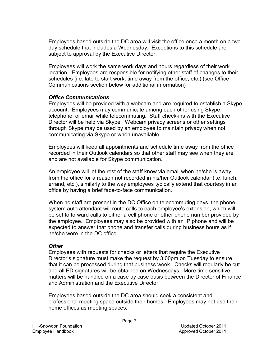Employees based outside the DC area will visit the office once a month on a twoday schedule that includes a Wednesday. Exceptions to this schedule are subject to approval by the Executive Director.

Employees will work the same work days and hours regardless of their work location. Employees are responsible for notifying other staff of changes to their schedules (i.e. late to start work, time away from the office, etc.) (see Office Communications section below for additional information)

#### *Office Communications*

Employees will be provided with a webcam and are required to establish a Skype account. Employees may communicate among each other using Skype, telephone, or email while telecommuting. Staff check-ins with the Executive Director will be held via Skype. Webcam privacy screens or other settings through Skype may be used by an employee to maintain privacy when not communicating via Skype or when unavailable.

Employees will keep all appointments and schedule time away from the office recorded in their Outlook calendars so that other staff may see when they are and are not available for Skype communication.

An employee will let the rest of the staff know via email when he/she is away from the office for a reason not recorded in his/her Outlook calendar (i.e. lunch, errand, etc.), similarly to the way employees typically extend that courtesy in an office by having a brief face-to-face communication.

When no staff are present in the DC Office on telecommuting days, the phone system auto attendant will route calls to each employee's extension, which will be set to forward calls to either a cell phone or other phone number provided by the employee. Employees may also be provided with an IP phone and will be expected to answer that phone and transfer calls during business hours as if he/she were in the DC office.

#### *Other*

Employees with requests for checks or letters that require the Executive Director's signature must make the request by 3:00pm on Tuesday to ensure that it can be processed during that business week. Checks will regularly be cut and all ED signatures will be obtained on Wednesdays. More time sensitive matters will be handled on a case by case basis between the Director of Finance and Administration and the Executive Director.

Employees based outside the DC area should seek a consistent and professional meeting space outside their homes. Employees may not use their home offices as meeting spaces.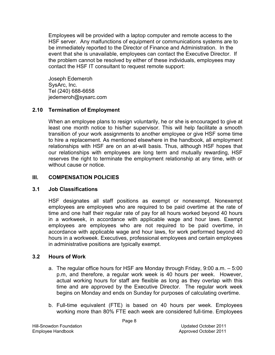Employees will be provided with a laptop computer and remote access to the HSF server. Any malfunctions of equipment or communications systems are to be immediately reported to the Director of Finance and Administration. In the event that she is unavailable, employees can contact the Executive Director. If the problem cannot be resolved by either of these individuals, employees may contact the HSF IT consultant to request remote support:

Joseph Edemeroh SysArc, Inc. Tel (240) 688-6658 jedemeroh@sysarc.com

### **2.10 Termination of Employment**

When an employee plans to resign voluntarily, he or she is encouraged to give at least one month notice to his/her supervisor. This will help facilitate a smooth transition of your work assignments to another employee or give HSF some time to hire a replacement. As mentioned elsewhere in the handbook, all employment relationships with HSF are on an at-will basis. Thus, although HSF hopes that our relationships with employees are long term and mutually rewarding, HSF reserves the right to terminate the employment relationship at any time, with or without cause or notice.

### **III. COMPENSATION POLICIES**

#### **3.1 Job Classifications**

HSF designates all staff positions as exempt or nonexempt. Nonexempt employees are employees who are required to be paid overtime at the rate of time and one half their regular rate of pay for all hours worked beyond 40 hours in a workweek, in accordance with applicable wage and hour laws. Exempt employees are employees who are not required to be paid overtime, in accordance with applicable wage and hour laws, for work performed beyond 40 hours in a workweek. Executives, professional employees and certain employees in administrative positions are typically exempt.

#### **3.2 Hours of Work**

- a. The regular office hours for HSF are Monday through Friday, 9:00 a.m. 5:00 p.m, and therefore, a regular work week is 40 hours per week. However, actual working hours for staff are flexible as long as they overlap with this time and are approved by the Executive Director. The regular work week begins on Monday and ends on Sunday for purposes of calculating overtime.
- b. Full-time equivalent (FTE) is based on 40 hours per week. Employees working more than 80% FTE each week are considered full-time. Employees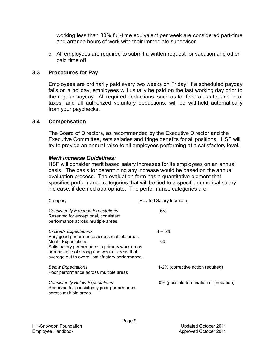working less than 80% full-time equivalent per week are considered part-time and arrange hours of work with their immediate supervisor.

c. All employees are required to submit a written request for vacation and other paid time off.

#### **3.3 Procedures for Pay**

Employees are ordinarily paid every two weeks on Friday. If a scheduled payday falls on a holiday, employees will usually be paid on the last working day prior to the regular payday. All required deductions, such as for federal, state, and local taxes, and all authorized voluntary deductions, will be withheld automatically from your paychecks.

#### **3.4 Compensation**

The Board of Directors, as recommended by the Executive Director and the Executive Committee, sets salaries and fringe benefits for all positions. HSF will try to provide an annual raise to all employees performing at a satisfactory level.

#### *Merit Increase Guidelines:*

HSF will consider merit based salary increases for its employees on an annual basis. The basis for determining any increase would be based on the annual evaluation process. The evaluation form has a quantitative element that specifies performance categories that will be tied to a specific numerical salary increase, if deemed appropriate. The performance categories are:

| Category                                                                                                                                                                                                                        | <b>Related Salary Increase</b>         |
|---------------------------------------------------------------------------------------------------------------------------------------------------------------------------------------------------------------------------------|----------------------------------------|
| <b>Consistently Exceeds Expectations</b><br>Reserved for exceptional, consistent<br>performance across multiple areas                                                                                                           | 6%                                     |
| <b>Exceeds Expectations</b>                                                                                                                                                                                                     | $4 - 5%$                               |
| Very good performance across multiple areas.<br><b>Meets Expectations</b><br>Satisfactory performance in primary work areas<br>or a balance of strong and weaker areas that<br>average out to overall satisfactory performance. | 3%                                     |
| <b>Below Expectations</b><br>Poor performance across multiple areas                                                                                                                                                             | 1-2% (corrective action required)      |
| <b>Consistently Below Expectations</b><br>Reserved for consistently poor performance<br>across multiple areas.                                                                                                                  | 0% (possible termination or probation) |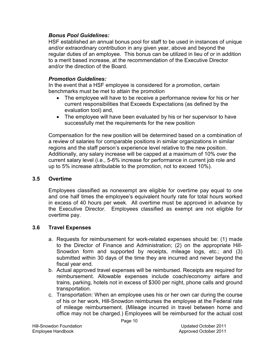#### *Bonus Pool Guidelines:*

HSF established an annual bonus pool for staff to be used in instances of unique and/or extraordinary contribution in any given year, above and beyond the regular duties of an employee. This bonus can be utilized in lieu of or in addition to a merit based increase, at the recommendation of the Executive Director and/or the direction of the Board.

### *Promotion Guidelines:*

In the event that a HSF employee is considered for a promotion, certain benchmarks must be met to attain the promotion

- The employee will have to be receive a performance review for his or her current responsibilities that Exceeds Expectations (as defined by the evaluation tool) and,
- The employee will have been evaluated by his or her supervisor to have successfully met the requirements for the new position

Compensation for the new position will be determined based on a combination of a review of salaries for comparable positions in similar organizations in similar regions and the staff person's experience level relative to the new position. Additionally, any salary increase will be capped at a maximum of 10% over the current salary level (i.e., 5-6% increase for performance in current job role and up to 5% increase attributable to the promotion, not to exceed 10%).

#### **3.5 Overtime**

Employees classified as nonexempt are eligible for overtime pay equal to one and one half times the employee's equivalent hourly rate for total hours worked in excess of 40 hours per week. All overtime must be approved in advance by the Executive Director. Employees classified as exempt are not eligible for overtime pay.

#### **3.6 Travel Expenses**

- a. Requests for reimbursement for work-related expenses should be: (1) made to the Director of Finance and Administration; (2) on the appropriate Hill-Snowdon form and supported by receipts, mileage logs, etc.; and (3) submitted within 30 days of the time they are incurred and never beyond the fiscal year end.
- b. Actual approved travel expenses will be reimbursed. Receipts are required for reimbursement. Allowable expenses include coach/economy airfare and trains, parking, hotels not in excess of \$300 per night, phone calls and ground transportation.
- c. Transportation: When an employee uses his or her own car during the course of his or her work, Hill-Snowdon reimburses the employee at the Federal rate of mileage reimbursement. (Mileage incurred in travel between home and office may not be charged.) Employees will be reimbursed for the actual cost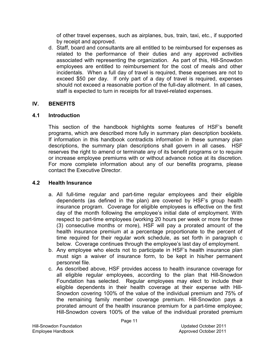of other travel expenses, such as airplanes, bus, train, taxi, etc., if supported by receipt and approved.

d. Staff, board and consultants are all entitled to be reimbursed for expenses as related to the performance of their duties and any approved activities associated with representing the organization. As part of this, Hill-Snowdon employees are entitled to reimbursement for the cost of meals and other incidentals. When a full day of travel is required, these expenses are not to exceed \$50 per day. If only part of a day of travel is required, expenses should not exceed a reasonable portion of the full-day allotment. In all cases, staff is expected to turn in receipts for all travel-related expenses.

### **IV. BENEFITS**

### **4.1 Introduction**

This section of the handbook highlights some features of HSF's benefit programs, which are described more fully in summary plan description booklets. If information in this handbook contradicts information in these summary plan descriptions, the summary plan descriptions shall govern in all cases. HSF reserves the right to amend or terminate any of its benefit programs or to require or increase employee premiums with or without advance notice at its discretion. For more complete information about any of our benefits programs, please contact the Executive Director.

# **4.2 Health Insurance**

- a. All full-time regular and part-time regular employees and their eligible dependents (as defined in the plan) are covered by HSF's group health insurance program. Coverage for eligible employees is effective on the first day of the month following the employee's initial date of employment. With respect to part-time employees (working 20 hours per week or more for three (3) consecutive months or more), HSF will pay a prorated amount of the health insurance premium at a percentage proportionate to the percent of time required for their regular work schedule, as set forth in paragraph c below. Coverage continues through the employee's last day of employment.
- b. Any employee who elects not to participate in HSF's health insurance plan must sign a waiver of insurance form, to be kept in his/her permanent personnel file.
- c. As described above, HSF provides access to health insurance coverage for all eligible regular employees, according to the plan that Hill-Snowdon Foundation has selected. Regular employees may elect to include their eligible dependents in their health coverage at their expense with Hill-Snowdon covering 100% of the value of the individual premium and 75% of the remaining family member coverage premium. Hill-Snowdon pays a prorated amount of the health insurance premium for a part-time employee; Hill-Snowdon covers 100% of the value of the individual prorated premium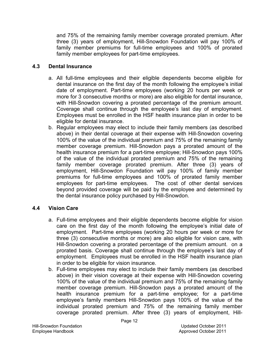and 75% of the remaining family member coverage prorated premium. After three (3) years of employment, Hill-Snowdon Foundation will pay 100% of family member premiums for full-time employees and 100% of prorated family member employees for part-time employees.

### **4.3 Dental Insurance**

- a. All full-time employees and their eligible dependents become eligible for dental insurance on the first day of the month following the employee's initial date of employment. Part-time employees (working 20 hours per week or more for 3 consecutive months or more) are also eligible for dental insurance, with Hill-Snowdon covering a prorated percentage of the premium amount. Coverage shall continue through the employee's last day of employment. Employees must be enrolled in the HSF health insurance plan in order to be eligible for dental insurance.
- b. Regular employees may elect to include their family members (as described above) in their dental coverage at their expense with Hill-Snowdon covering 100% of the value of the individual premium and 75% of the remaining family member coverage premium. Hill-Snowdon pays a prorated amount of the health insurance premium for a part-time employee; Hill-Snowdon pays 100% of the value of the individual prorated premium and 75% of the remaining family member coverage prorated premium. After three (3) years of employment, Hill-Snowdon Foundation will pay 100% of family member premiums for full-time employees and 100% of prorated family member employees for part-time employees. The cost of other dental services beyond provided coverage will be paid by the employee and determined by the dental insurance policy purchased by Hill-Snowdon.

# **4.4 Vision Care**

- a. Full-time employees and their eligible dependents become eligible for vision care on the first day of the month following the employee's initial date of employment. Part-time employees (working 20 hours per week or more for three (3) consecutive months or more) are also eligible for vision care, with Hill-Snowdon covering a prorated percentage of the premium amount. on a prorated basis. Coverage shall continue through the employee's last day of employment. Employees must be enrolled in the HSF health insurance plan in order to be eligible for vision insurance.
- b. Full-time employees may elect to include their family members (as described above) in their vision coverage at their expense with Hill-Snowdon covering 100% of the value of the individual premium and 75% of the remaining family member coverage premium. Hill-Snowdon pays a prorated amount of the health insurance premium for a part-time employee; for a part-time employee's family members Hill-Snowdon pays 100% of the value of the individual prorated premium and 75% of the remaining family member coverage prorated premium. After three (3) years of employment, Hill-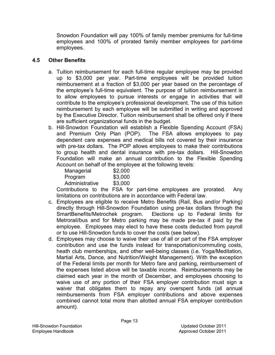Snowdon Foundation will pay 100% of family member premiums for full-time employees and 100% of prorated family member employees for part-time employees.

## **4.5 Other Benefits**

- a. Tuition reimbursement for each full-time regular employee may be provided up to \$3,000 per year. Part-time employees will be provided tuition reimbursement at a fraction of \$3,000 per year based on the percentage of the employee's full-time equivalent. The purpose of tuition reimbursement is to allow employees to pursue interests or engage in activities that will contribute to the employee's professional development. The use of this tuition reimbursement by each employee will be submitted in writing and approved by the Executive Director. Tuition reimbursement shall be offered only if there are sufficient organizational funds in the budget.
- b. Hill-Snowdon Foundation will establish a Flexible Spending Account (FSA) and Premium Only Plan (POP). The FSA allows employees to pay dependent care expenses and medical bills not covered by their insurance with pre-tax dollars. The POP allows employees to make their contributions to group health and dental insurance with pre-tax dollars. Hill-Snowdon Foundation will make an annual contribution to the Flexible Spending Account on behalf of the employee at the following levels:

| Managerial     | \$2,000 |
|----------------|---------|
| Program        | \$3,000 |
| Administrative | \$3,000 |

Contributions to the FSA for part-time employees are prorated. Any limitations on contributions are in accordance with Federal law.

- c. Employees are eligible to receive Metro Benefits (Rail, Bus and/or Parking) directly through Hill-Snowdon Foundation using pre-tax dollars through the SmartBenefits/Metrochek program. Elections up to Federal limits for Metrorail/bus and for Metro parking may be made pre-tax if paid by the employee. Employees may elect to have these costs deducted from payroll or to use Hill-Snowdon funds to cover the costs (see below).
- d. Employees may choose to waive their use of all or part of the FSA employer contribution and use the funds instead for transportation/commuting costs, heath club memberships, and other well-being classes (i.e. Yoga/Meditation, Martial Arts, Dance, and Nutrition/Weight Management). With the exception of the Federal limits per month for Metro fare and parking, reimbursement of the expenses listed above will be taxable income. Reimbursements may be claimed each year in the month of December, and employees choosing to waive use of any portion of their FSA employer contribution must sign a waiver that obligates them to repay any overspent funds (all annual reimbursements from FSA employer contributions and above expenses combined cannot total more than allotted annual FSA employer contribution amount).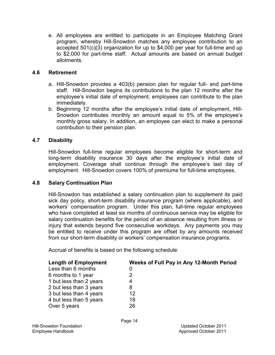e. All employees are entitled to participate in an Employee Matching Grant program, whereby Hill-Snowdon matches any employee contribution to an accepted 501(c)(3) organization for up to \$4,000 per year for full-time and up to \$2,000 for part-time staff. Actual amounts are based on annual budget allotments.

# **4.6 Retirement**

- a. Hill-Snowdon provides a 403(b) pension plan for regular full- and part-time staff. Hill-Snowdon begins its contributions to the plan 12 months after the employee's initial date of employment; employees can contribute to the plan immediately.
- b. Beginning 12 months after the employee's initial date of employment, Hill-Snowdon contributes monthly an amount equal to 5% of the employee's monthly gross salary. In addition, an employee can elect to make a personal contribution to their pension plan.

# **4.7 Disability**

Hill-Snowdon full-time regular employees become eligible for short-term and long-term disability insurance 30 days after the employee's initial date of employment. Coverage shall continue through the employee's last day of employment. Hill-Snowdon covers 100% of premiums for full-time employees.

#### **4.8 Salary Continuation Plan**

Hill-Snowdon has established a salary continuation plan to supplement its paid sick day policy, short-term disability insurance program (where applicable), and workers' compensation program. Under this plan, full-time regular employees who have completed at least six months of continuous service may be eligible for salary continuation benefits for the period of an absence resulting from illness or injury that extends beyond five consecutive workdays. Any payments you may be entitled to receive under this program are offset by any amounts received from our short-term disability or workers' compensation insurance programs.

Accrual of benefits is based on the following schedule:

| <b>Length of Employment</b> | Weeks of Full Pay in Any 12-Month Period |
|-----------------------------|------------------------------------------|
| Less than 6 months          | 0                                        |
| 6 months to 1 year          | 2                                        |
| 1 but less than 2 years     | 4                                        |
| 2 but less than 3 years     | 8                                        |
| 3 but less than 4 years     | 12                                       |
| 4 but less than 5 years     | 18                                       |
| Over 5 years                | 26                                       |
|                             |                                          |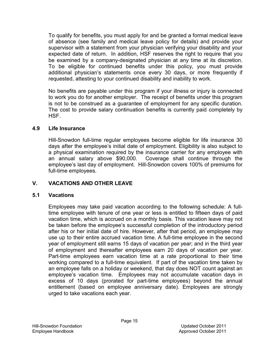To qualify for benefits, you must apply for and be granted a formal medical leave of absence (see family and medical leave policy for details) and provide your supervisor with a statement from your physician verifying your disability and your expected date of return. In addition, HSF reserves the right to require that you be examined by a company-designated physician at any time at its discretion. To be eligible for continued benefits under this policy, you must provide additional physician's statements once every 30 days, or more frequently if requested, attesting to your continued disability and inability to work.

No benefits are payable under this program if your illness or injury is connected to work you do for another employer. The receipt of benefits under this program is not to be construed as a guarantee of employment for any specific duration. The cost to provide salary continuation benefits is currently paid completely by HSF.

### **4.9 Life Insurance**

Hill-Snowdon full-time regular employees become eligible for life insurance 30 days after the employee's initial date of employment. Eligibility is also subject to a physical examination required by the insurance carrier for any employee with an annual salary above \$90,000. Coverage shall continue through the employee's last day of employment. Hill-Snowdon covers 100% of premiums for full-time employees.

# **V. VACATIONS AND OTHER LEAVE**

# **5.1 Vacations**

Employees may take paid vacation according to the following schedule: A fulltime employee with tenure of one year or less is entitled to fifteen days of paid vacation time, which is accrued on a monthly basis. This vacation leave may not be taken before the employee's successful completion of the introductory period after his or her initial date of hire. However, after that period, an employee may use up to their entire accrued vacation time. A full-time employee in the second year of employment still earns 15 days of vacation per year; and in the third year of employment and thereafter employees earn 20 days of vacation per year. Part-time employees earn vacation time at a rate proportional to their time working compared to a full-time equivalent. If part of the vacation time taken by an employee falls on a holiday or weekend, that day does NOT count against an employee's vacation time. Employees may not accumulate vacation days in excess of 10 days (prorated for part-time employees) beyond the annual entitlement (based on employee anniversary date). Employees are strongly urged to take vacations each year.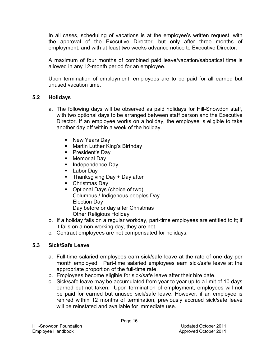In all cases, scheduling of vacations is at the employee's written request, with the approval of the Executive Director, but only after three months of employment, and with at least two weeks advance notice to Executive Director.

A maximum of four months of combined paid leave/vacation/sabbatical time is allowed in any 12-month period for an employee.

Upon termination of employment, employees are to be paid for all earned but unused vacation time.

# **5.2 Holidays**

- a. The following days will be observed as paid holidays for Hill-Snowdon staff, with two optional days to be arranged between staff person and the Executive Director. If an employee works on a holiday, the employee is eligible to take another day off within a week of the holiday.
	- New Years Day
	- **Martin Luther King's Birthday**
	- President's Day
	- **Memorial Day**
	- **Independence Day**
	- **Labor Day**
	- $\blacksquare$  Thanksgiving Day + Day after
	- Christmas Day
	- Optional Days (choice of two) Columbus / Indigenous peoples Day Election Day Day before or day after Christmas Other Religious Holiday
- b. If a holiday falls on a regular workday, part-time employees are entitled to it; if it falls on a non-working day, they are not.
- c. Contract employees are not compensated for holidays.

# **5.3 Sick/Safe Leave**

- a. Full-time salaried employees earn sick/safe leave at the rate of one day per month employed. Part-time salaried employees earn sick/safe leave at the appropriate proportion of the full-time rate.
- b. Employees become eligible for sick/safe leave after their hire date.
- c. Sick/safe leave may be accumulated from year to year up to a limit of 10 days earned but not taken. Upon termination of employment, employees will not be paid for earned but unused sick/safe leave. However, if an employee is rehired within 12 months of termination, previously accrued sick/safe leave will be reinstated and available for immediate use.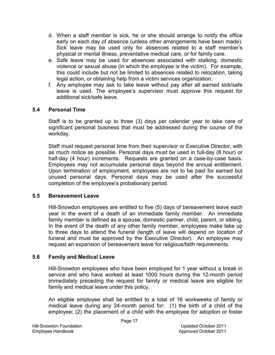- d. When a staff member is sick, he or she should arrange to notify the office early on each day of absence (unless other arrangements have been made). Sick leave may be used only for absences related to a staff member's physical or mental illness, preventative medical care, or for family care.
- e. Safe leave may be used for absences associated with stalking, domestic violence or sexual abuse (in which the employee is the victim). For example, this could include but not be limited to absences related to relocation, taking legal action, or obtaining help from a victim services organization.
- f. Any employee may ask to take leave without pay after all earned sick/safe leave is used. The employee's supervisor must approve this request for additional sick/safe leave.

#### **5.4 Personal Time**

Staff is to be granted up to three (3) days per calendar year to take care of significant personal business that must be addressed during the course of the workday.

Staff must request personal time from their supervisor or Executive Director, with as much notice as possible. Personal days must be used in full-day (8 hour) or half-day (4 hour) increments. Requests are granted on a case-by-case basis. Employees may not accumulate personal days beyond the annual entitlement. Upon termination of employment, employees are not to be paid for earned but unused personal days. Personal days may be used after the successful completion of the employee's probationary period.

#### **5.5 Bereavement Leave**

Hill-Snowdon employees are entitled to five (5) days of bereavement leave each year in the event of a death of an immediate family member. An immediate family member is defined as a spouse, domestic partner, child, parent, or sibling. In the event of the death of any other family member, employees make take up to three days to attend the funeral (length of leave will depend on location of funeral and must be approved by the Executive Director). An employee may request an expansion of bereavement leave for religious/faith requirements.

# **5.6 Family and Medical Leave**

Hill-Snowdon employees who have been employed for 1 year without a break in service and who have worked at least 1000 hours during the 12-month period immediately preceding the request for family or medical leave are eligible for family and medical leave under this policy.

An eligible employee shall be entitled to a total of 16 workweeks of family or medical leave during any 24-month period for: (1) the birth of a child of the employee; (2) the placement of a child with the employee for adoption or foster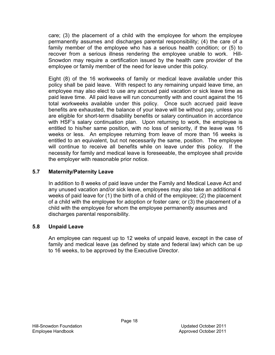care; (3) the placement of a child with the employee for whom the employee permanently assumes and discharges parental responsibility; (4) the care of a family member of the employee who has a serious health condition; or (5) to recover from a serious illness rendering the employee unable to work. Hill-Snowdon may require a certification issued by the health care provider of the employee or family member of the need for leave under this policy.

Eight (8) of the 16 workweeks of family or medical leave available under this policy shall be paid leave. With respect to any remaining unpaid leave time, an employee may also elect to use any accrued paid vacation or sick leave time as paid leave time. All paid leave will run concurrently with and count against the 16 total workweeks available under this policy. Once such accrued paid leave benefits are exhausted, the balance of your leave will be without pay, unless you are eligible for short-term disability benefits or salary continuation in accordance with HSF's salary continuation plan. Upon returning to work, the employee is entitled to his/her same position, with no loss of seniority, if the leave was 16 weeks or less. An employee returning from leave of more than 16 weeks is entitled to an equivalent, but not necessarily the same, position. The employee will continue to receive all benefits while on leave under this policy. If the necessity for family and medical leave is foreseeable, the employee shall provide the employer with reasonable prior notice.

# **5.7 Maternity/Paternity Leave**

In addition to 8 weeks of paid leave under the Family and Medical Leave Act and any unused vacation and/or sick leave, employees may also take an additional 4 weeks of paid leave for (1) the birth of a child of the employee; (2) the placement of a child with the employee for adoption or foster care; or (3) the placement of a child with the employee for whom the employee permanently assumes and discharges parental responsibility.

# **5.8 Unpaid Leave**

An employee can request up to 12 weeks of unpaid leave, except in the case of family and medical leave (as defined by state and federal law) which can be up to 16 weeks, to be approved by the Executive Director.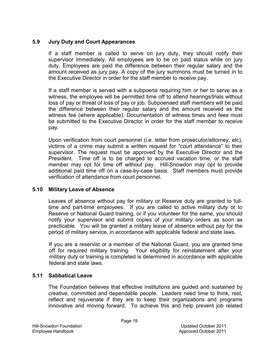### **5.9 Jury Duty and Court Appearances**

If a staff member is called to serve on jury duty, they should notify their supervisor immediately. All employees are to be on paid status while on jury duty. Employees are paid the difference between their regular salary and the amount received as jury pay. A copy of the jury summons must be turned in to the Executive Director in order for the staff member to receive pay.

If a staff member is served with a subpoena requiring him or her to serve as a witness, the employee will be permitted time off to attend hearings/trials without loss of pay or threat of loss of pay or job. Subpoenaed staff members will be paid the difference between their regular salary and the amount received as the witness fee (where applicable). Documentation of witness times and fees must be submitted to the Executive Director in order for the staff member to receive pay.

Upon verification from court personnel (i.e. letter from prosecutor/attorney, etc), victims of a crime may submit a written request for "court attendance" to their supervisor. The request must be approved by the Executive Director and the President. Time off is to be charged to accrued vacation time, or the staff member may opt for time off without pay. Hill-Snowdon may opt to provide additional paid time off on a case-by-case basis. Staff members must provide verification of attendance from court personnel.

#### **5.10 Military Leave of Absence**

Leaves of absence without pay for military or Reserve duty are granted to fulltime and part-time employees. If you are called to active military duty or to Reserve or National Guard training, or if you volunteer for the same, you should notify your supervisor and submit copies of your military orders as soon as practicable. You will be granted a military leave of absence without pay for the period of military service, in accordance with applicable federal and state laws.

If you are a reservist or a member of the National Guard, you are granted time off for required military training. Your eligibility for reinstatement after your military duty or training is completed is determined in accordance with applicable federal and state laws.

#### **5.11 Sabbatical Leave**

The Foundation believes that effective institutions are guided and sustained by creative, committed and dependable people. Leaders need time to think, rest, reflect and rejuvenate if they are to keep their organizations and programs innovative and moving forward. To achieve this and help prevent job related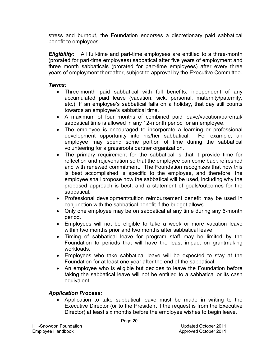stress and burnout, the Foundation endorses a discretionary paid sabbatical benefit to employees.

*Eligibility:* All full-time and part-time employees are entitled to a three-month (prorated for part-time employees) sabbatical after five years of employment and three month sabbaticals (prorated for part-time employees) after every three years of employment thereafter, subject to approval by the Executive Committee.

### *Terms:*

- Three-month paid sabbatical with full benefits, independent of any accumulated paid leave (vacation, sick, personal, maternity/paternity, etc.). If an employee's sabbatical falls on a holiday, that day still counts towards an employee's sabbatical time.
- A maximum of four months of combined paid leave/vacation/parental/ sabbatical time is allowed in any 12-month period for an employee.
- The employee is encouraged to incorporate a learning or professional development opportunity into his/her sabbatical. For example, an employee may spend some portion of time during the sabbatical volunteering for a grassroots partner organization.
- The primary requirement for the sabbatical is that it provide time for reflection and rejuvenation so that the employee can come back refreshed and with renewed commitment. The Foundation recognizes that how this is best accomplished is specific to the employee, and therefore, the employee shall propose how the sabbatical will be used, including why the proposed approach is best, and a statement of goals/outcomes for the sabbatical.
- Professional development/tuition reimbursement benefit may be used in conjunction with the sabbatical benefit if the budget allows.
- Only one employee may be on sabbatical at any time during any 6-month period.
- Employees will not be eligible to take a week or more vacation leave within two months prior and two months after sabbatical leave.
- Timing of sabbatical leave for program staff may be limited by the Foundation to periods that will have the least impact on grantmaking workloads.
- Employees who take sabbatical leave will be expected to stay at the Foundation for at least one year after the end of the sabbatical.
- An employee who is eligible but decides to leave the Foundation before taking the sabbatical leave will not be entitled to a sabbatical or its cash equivalent.

# *Application Process:*

• Application to take sabbatical leave must be made in writing to the Executive Director (or to the President if the request is from the Executive Director) at least six months before the employee wishes to begin leave.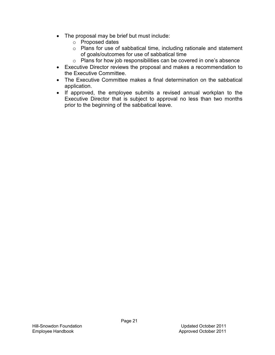- $\bullet$  The proposal may be brief but must include:
	- o Proposed dates
	- o Plans for use of sabbatical time, including rationale and statement of goals/outcomes for use of sabbatical time
	- o Plans for how job responsibilities can be covered in one's absence
- Executive Director reviews the proposal and makes a recommendation to the Executive Committee.
- The Executive Committee makes a final determination on the sabbatical application.
- If approved, the employee submits a revised annual workplan to the Executive Director that is subject to approval no less than two months prior to the beginning of the sabbatical leave.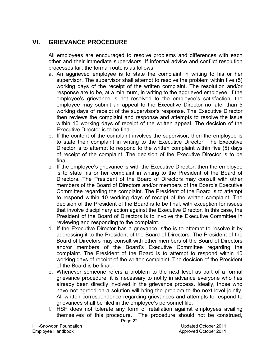# **VI. GRIEVANCE PROCEDURE**

All employees are encouraged to resolve problems and differences with each other and their immediate supervisors. If informal advice and conflict resolution processes fail, the formal route is as follows:

- a. An aggrieved employee is to state the complaint in writing to his or her supervisor. The supervisor shall attempt to resolve the problem within five (5) working days of the receipt of the written complaint. The resolution and/or response are to be, at a minimum, in writing to the aggrieved employee. If the employee's grievance is not resolved to the employee's satisfaction, the employee may submit an appeal to the Executive Director no later than 5 working days of receipt of the supervisor's response. The Executive Director then reviews the complaint and response and attempts to resolve the issue within 10 working days of receipt of the written appeal. The decision of the Executive Director is to be final.
- b. If the content of the complaint involves the supervisor, then the employee is to state their complaint in writing to the Executive Director. The Executive Director is to attempt to respond to the written complaint within five (5) days of receipt of the complaint. The decision of the Executive Director is to be final.
- c. If the employee's grievance is with the Executive Director, then the employee is to state his or her complaint in writing to the President of the Board of Directors. The President of the Board of Directors may consult with other members of the Board of Directors and/or members of the Board's Executive Committee regarding the complaint. The President of the Board is to attempt to respond within 10 working days of receipt of the written complaint. The decision of the President of the Board is to be final, with exception for issues that involve disciplinary action against the Executive Director. In this case, the President of the Board of Directors is to involve the Executive Committee in reviewing and responding to the complaint.
- d. If the Executive Director has a grievance, s/he is to attempt to resolve it by addressing it to the President of the Board of Directors. The President of the Board of Directors may consult with other members of the Board of Directors and/or members of the Board's Executive Committee regarding the complaint. The President of the Board is to attempt to respond within 10 working days of receipt of the written complaint. The decision of the President of the Board is be final.
- e. Whenever someone refers a problem to the next level as part of a formal grievance procedure, it is necessary to notify in advance everyone who has already been directly involved in the grievance process. Ideally, those who have not agreed on a solution will bring the problem to the next level jointly. All written correspondence regarding grievances and attempts to respond to grievances shall be filed in the employee's personnel file.
- f. HSF does not tolerate any form of retaliation against employees availing themselves of this procedure. The procedure should not be construed,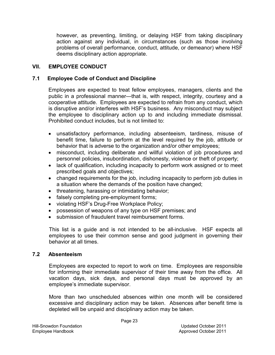however, as preventing, limiting, or delaying HSF from taking disciplinary action against any individual, in circumstances (such as those involving problems of overall performance, conduct, attitude, or demeanor) where HSF deems disciplinary action appropriate.

## **VII. EMPLOYEE CONDUCT**

#### **7.1 Employee Code of Conduct and Discipline**

Employees are expected to treat fellow employees, managers, clients and the public in a professional manner—that is, with respect, integrity, courtesy and a cooperative attitude. Employees are expected to refrain from any conduct, which is disruptive and/or interferes with HSF's business. Any misconduct may subject the employee to disciplinary action up to and including immediate dismissal. Prohibited conduct includes, but is not limited to:

- unsatisfactory performance, including absenteeism, tardiness, misuse of benefit time, failure to perform at the level required by the job, attitude or behavior that is adverse to the organization and/or other employees;
- misconduct, including deliberate and willful violation of job procedures and personnel policies, insubordination, dishonesty, violence or theft of property;
- lack of qualification, including incapacity to perform work assigned or to meet prescribed goals and objectives;
- changed requirements for the job, including incapacity to perform job duties in a situation where the demands of the position have changed;
- threatening, harassing or intimidating behavior;
- falsely completing pre-employment forms;
- violating HSF's Drug-Free Workplace Policy;
- possession of weapons of any type on HSF premises; and
- submission of fraudulent travel reimbursement forms.

This list is a guide and is not intended to be all-inclusive. HSF expects all employees to use their common sense and good judgment in governing their behavior at all times.

#### **7.2 Absenteeism**

Employees are expected to report to work on time. Employees are responsible for informing their immediate supervisor of their time away from the office. All vacation days, sick days, and personal days must be approved by an employee's immediate supervisor.

More than two unscheduled absences within one month will be considered excessive and disciplinary action may be taken. Absences after benefit time is depleted will be unpaid and disciplinary action may be taken.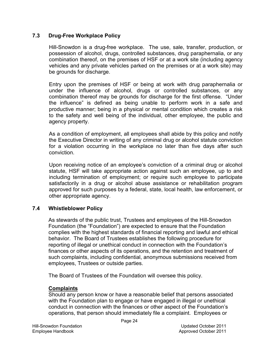#### **7.3 Drug-Free Workplace Policy**

Hill-Snowdon is a drug-free workplace. The use, sale, transfer, production, or possession of alcohol, drugs, controlled substances, drug paraphernalia, or any combination thereof, on the premises of HSF or at a work site (including agency vehicles and any private vehicles parked on the premises or at a work site) may be grounds for discharge.

Entry upon the premises of HSF or being at work with drug paraphernalia or under the influence of alcohol, drugs or controlled substances, or any combination thereof may be grounds for discharge for the first offense. "Under the influence" is defined as being unable to perform work in a safe and productive manner; being in a physical or mental condition which creates a risk to the safety and well being of the individual, other employee, the public and agency property.

As a condition of employment, all employees shall abide by this policy and notify the Executive Director in writing of any criminal drug or alcohol statute conviction for a violation occurring in the workplace no later than five days after such conviction.

Upon receiving notice of an employee's conviction of a criminal drug or alcohol statute, HSF will take appropriate action against such an employee, up to and including termination of employment; or require such employee to participate satisfactorily in a drug or alcohol abuse assistance or rehabilitation program approved for such purposes by a federal, state, local health, law enforcement, or other appropriate agency.

#### **7.4 Whistleblower Policy**

As stewards of the public trust, Trustees and employees of the Hill-Snowdon Foundation (the "Foundation") are expected to ensure that the Foundation complies with the highest standards of financial reporting and lawful and ethical behavior. The Board of Trustees establishes the following procedure for reporting of illegal or unethical conduct in connection with the Foundation's finances or other aspects of its operations, and the retention and treatment of such complaints, including confidential, anonymous submissions received from employees, Trustees or outside parties.

The Board of Trustees of the Foundation will oversee this policy.

#### **Complaints**

Should any person know or have a reasonable belief that persons associated with the Foundation plan to engage or have engaged in illegal or unethical conduct in connection with the finances or other aspect of the Foundation's operations, that person should immediately file a complaint. Employees or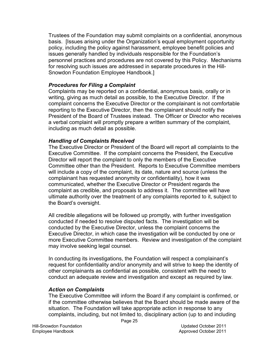Trustees of the Foundation may submit complaints on a confidential, anonymous basis. [Issues arising under the Organization's equal employment opportunity policy, including the policy against harassment, employee benefit policies and issues generally handled by individuals responsible for the Foundation's personnel practices and procedures are not covered by this Policy. Mechanisms for resolving such issues are addressed in separate procedures in the Hill-Snowdon Foundation Employee Handbook.]

#### *Procedures for Filing a Complaint*

Complaints may be reported on a confidential, anonymous basis, orally or in writing, giving as much detail as possible, to the Executive Director. If the complaint concerns the Executive Director or the complainant is not comfortable reporting to the Executive Director, then the complainant should notify the President of the Board of Trustees instead. The Officer or Director who receives a verbal complaint will promptly prepare a written summary of the complaint, including as much detail as possible.

#### *Handling of Complaints Received*

The Executive Director or President of the Board will report all complaints to the Executive Committee. If the complaint concerns the President, the Executive Director will report the complaint to only the members of the Executive Committee other than the President. Reports to Executive Committee members will include a copy of the complaint, its date, nature and source (unless the complainant has requested anonymity or confidentiality), how it was communicated, whether the Executive Director or President regards the complaint as credible, and proposals to address it. The committee will have ultimate authority over the treatment of any complaints reported to it, subject to the Board's oversight.

All credible allegations will be followed up promptly, with further investigation conducted if needed to resolve disputed facts. The investigation will be conducted by the Executive Director, unless the complaint concerns the Executive Director, in which case the investigation will be conducted by one or more Executive Committee members. Review and investigation of the complaint may involve seeking legal counsel.

In conducting its investigations, the Foundation will respect a complainant's request for confidentiality and/or anonymity and will strive to keep the identity of other complainants as confidential as possible, consistent with the need to conduct an adequate review and investigation and except as required by law.

#### *Action on Complaints*

The Executive Committee will inform the Board if any complaint is confirmed, or if the committee otherwise believes that the Board should be made aware of the situation. The Foundation will take appropriate action in response to any complaints, including, but not limited to, disciplinary action (up to and including

Page 25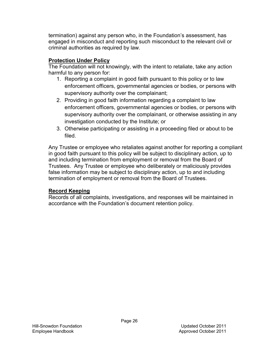termination) against any person who, in the Foundation's assessment, has engaged in misconduct and reporting such misconduct to the relevant civil or criminal authorities as required by law.

# **Protection Under Policy**

The Foundation will not knowingly, with the intent to retaliate, take any action harmful to any person for:

- 1. Reporting a complaint in good faith pursuant to this policy or to law enforcement officers, governmental agencies or bodies, or persons with supervisory authority over the complainant;
- 2. Providing in good faith information regarding a complaint to law enforcement officers, governmental agencies or bodies, or persons with supervisory authority over the complainant, or otherwise assisting in any investigation conducted by the Institute; or
- 3. Otherwise participating or assisting in a proceeding filed or about to be filed.

Any Trustee or employee who retaliates against another for reporting a compliant in good faith pursuant to this policy will be subject to disciplinary action, up to and including termination from employment or removal from the Board of Trustees. Any Trustee or employee who deliberately or maliciously provides false information may be subject to disciplinary action, up to and including termination of employment or removal from the Board of Trustees.

# **Record Keeping**

Records of all complaints, investigations, and responses will be maintained in accordance with the Foundation's document retention policy.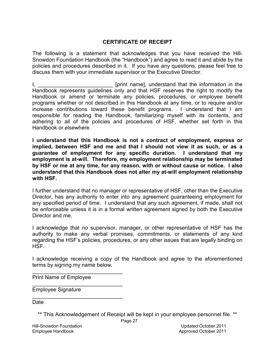### **CERTIFICATE OF RECEIPT**

The following is a statement that acknowledges that you have received the Hill-Snowdon Foundation Handbook (the "Handbook") and agree to read it and abide by the policies and procedures described in it. If you have any questions, please feel free to discuss them with your immediate supervisor or the Executive Director.

I, \_\_\_\_\_\_\_\_\_\_\_\_\_\_\_\_\_\_\_\_\_\_\_\_\_\_\_\_\_\_\_\_\_ [print name], understand that the information in the Handbook represents guidelines only and that HSF reserves the right to modify the Handbook or amend or terminate any policies, procedures, or employee benefit programs whether or not described in this Handbook at any time, or to require and/or increase contributions toward these benefit programs. I understand that I am responsible for reading the Handbook, familiarizing myself with its contents, and adhering to all of the policies and procedures of HSF, whether set forth in this Handbook or elsewhere.

**I understand that this Handbook is not a contract of employment, express or implied, between HSF and me and that I should not view it as such, or as a guarantee of employment for any specific duration. I understand that my employment is at-will. Therefore, my employment relationship may be terminated by HSF or me at any time, for any reason, with or without cause or notice. I also understand that this Handbook does not alter my at-will employment relationship with HSF.** 

I further understand that no manager or representative of HSF, other than the Executive Director, has any authority to enter into any agreement guaranteeing employment for any specified period of time. I understand that any such agreement, if made, shall not be enforceable unless it is in a formal written agreement signed by both the Executive Director and me.

I acknowledge that no supervisor, manager, or other representative of HSF has the authority to make any verbal promises, commitments, or statements of any kind regarding the HSF's policies, procedures, or any other issues that are legally binding on **HSF** 

I acknowledge receiving a copy of the Handbook and agree to the aforementioned terms by signing my name below.

Print Name of Employee

 $\mathcal{L}_\text{max}$  , where  $\mathcal{L}_\text{max}$  and  $\mathcal{L}_\text{max}$ 

 $\mathcal{L}_\text{max}$  and  $\mathcal{L}_\text{max}$  and  $\mathcal{L}_\text{max}$  and  $\mathcal{L}_\text{max}$ 

 $\mathcal{L}_\text{max}$  , which is a set of the set of the set of the set of the set of the set of the set of the set of the set of the set of the set of the set of the set of the set of the set of the set of the set of the set of

Employee Signature

Date

\*\* This Acknowledgement of Receipt will be kept in your employee personnel file. \*\*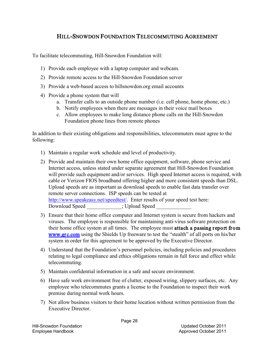# HILL-SNOWDON FOUNDATION TELECOMMUTING AGREEMENT

To facilitate telecommuting, Hill-Snowdon Foundation will:

- 1) Provide each employee with a laptop computer and webcam.
- 2) Provide remote access to the Hill-Snowdon Foundation server
- 3) Provide a web-based access to hillsnowdon.org email accounts
- 4) Provide a phone system that will
	- a. Transfer calls to an outside phone number (i.e. cell phone, home phone, etc.)
	- b. Notify employees when there are messages in their voice mail boxes
	- c. Allow employees to make long distance phone calls on the Hill-Snowdon Foundation phone lines from remote phones

In addition to their existing obligations and responsibilities, telecommuters must agree to the following:

- 1) Maintain a regular work schedule and level of productivity.
- 2) Provide and maintain their own home office equipment, software, phone service and Internet access, unless stated under separate agreement that Hill-Snowdon Foundation will provide such equipment and/or services. High speed Internet access is required, with cable or Verizon FIOS broadband offering higher and more consistent speeds than DSL. Upload speeds are as important as download speeds to enable fast data transfer over remote server connections. ISP speeds can be tested at [http://www.speakeasy.net/speedtest/.](http://www.speakeasy.net/speedtest/) Enter results of your speed test here: Download Speed  $\qquad \qquad ;$  Upload Speed
- 3) Ensure that their home office computer and Internet system is secure from hackers and viruses. The employee is responsible for maintaining anti-virus software protection on their home office system at all times. The employee must attach a passing report from [www.grc.com](http://www.grc.com/) using the Shields Up freeware to test the "stealth" of all ports on his/her system in order for this agreement to be approved by the Executive Director.
- 4) Understand that the Foundation's personnel policies, including policies and procedures relating to legal compliance and ethics obligations remain in full force and effect while telecommuting.
- 5) Maintain confidential information in a safe and secure environment.
- 6) Have safe work environment free of clutter, exposed wiring, slippery surfaces, etc. Any employee who telecommutes grants a license to the Foundation to inspect their work premise during normal work hours.
- 7) Not allow business visitors to their home location without written permission from the Executive Director.